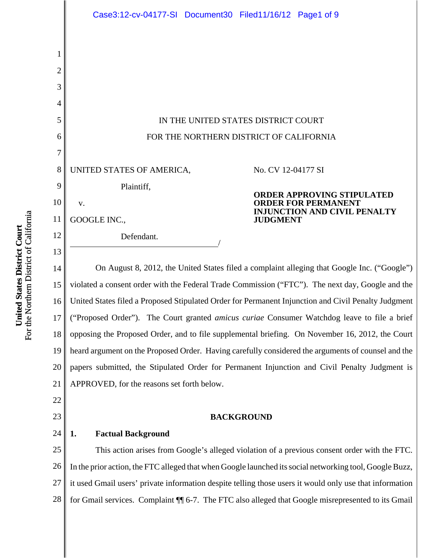|                | Case3:12-cv-04177-SI Document30 Filed11/16/12 Page1 of 9                                                                                    |
|----------------|---------------------------------------------------------------------------------------------------------------------------------------------|
|                |                                                                                                                                             |
| 1              |                                                                                                                                             |
| $\overline{2}$ |                                                                                                                                             |
| 3              |                                                                                                                                             |
| 4              |                                                                                                                                             |
| 5              | IN THE UNITED STATES DISTRICT COURT                                                                                                         |
| 6              | FOR THE NORTHERN DISTRICT OF CALIFORNIA                                                                                                     |
| $\overline{7}$ |                                                                                                                                             |
| 8              | UNITED STATES OF AMERICA,<br>No. CV 12-04177 SI                                                                                             |
| 9              | Plaintiff,<br><b>ORDER APPROVING STIPULATED</b>                                                                                             |
| 10             | <b>ORDER FOR PERMANENT</b><br>V.<br><b>INJUNCTION AND CIVIL PENALTY</b>                                                                     |
| 11             | GOOGLE INC.,<br><b>JUDGMENT</b>                                                                                                             |
| 12             | Defendant.                                                                                                                                  |
| 13             |                                                                                                                                             |
| 14             | On August 8, 2012, the United States filed a complaint alleging that Google Inc. ("Google")                                                 |
| 15             | violated a consent order with the Federal Trade Commission ("FTC"). The next day, Google and the                                            |
| $16 \parallel$ | United States filed a Proposed Stipulated Order for Permanent Injunction and Civil Penalty Judgment                                         |
| 17             | ("Proposed Order"). The Court granted amicus curiae Consumer Watchdog leave to file a brief                                                 |
| 18             | opposing the Proposed Order, and to file supplemental briefing. On November 16, 2012, the Court                                             |
| 19             | heard argument on the Proposed Order. Having carefully considered the arguments of counsel and the                                          |
| 20<br>21       | papers submitted, the Stipulated Order for Permanent Injunction and Civil Penalty Judgment is<br>APPROVED, for the reasons set forth below. |
| 22             |                                                                                                                                             |
| 23             | <b>BACKGROUND</b>                                                                                                                           |
| 24             | <b>Factual Background</b><br>1.                                                                                                             |
| 25             | This action arises from Google's alleged violation of a previous consent order with the FTC.                                                |
| 26             | In the prior action, the FTC alleged that when Google launched its social networking tool, Google Buzz,                                     |
| 27             | it used Gmail users' private information despite telling those users it would only use that information                                     |

28 for Gmail services. Complaint ¶¶ 6-7. The FTC also alleged that Google misrepresented to its Gmail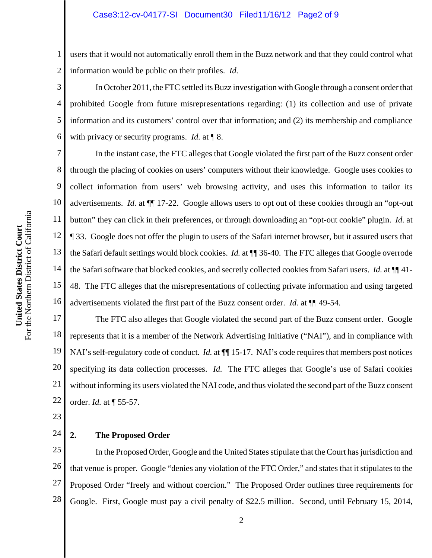## Case3:12-cv-04177-SI Document30 Filed11/16/12 Page2 of 9

1 2 users that it would not automatically enroll them in the Buzz network and that they could control what information would be public on their profiles. *Id.* 

3 4 5 6 In October 2011, the FTC settled its Buzz investigation with Google through a consent order that prohibited Google from future misrepresentations regarding: (1) its collection and use of private information and its customers' control over that information; and (2) its membership and compliance with privacy or security programs. *Id.* at ¶ 8.

7 8 9 10 11 12 13 14 15 16 In the instant case, the FTC alleges that Google violated the first part of the Buzz consent order through the placing of cookies on users' computers without their knowledge. Google uses cookies to collect information from users' web browsing activity, and uses this information to tailor its advertisements. *Id.* at ¶¶ 17-22. Google allows users to opt out of these cookies through an "opt-out button" they can click in their preferences, or through downloading an "opt-out cookie" plugin. *Id.* at ¶ 33. Google does not offer the plugin to users of the Safari internet browser, but it assured users that the Safari default settings would block cookies. *Id.* at ¶¶ 36-40. The FTC alleges that Google overrode the Safari software that blocked cookies, and secretly collected cookies from Safari users. *Id.* at ¶¶ 41- 48. The FTC alleges that the misrepresentations of collecting private information and using targeted advertisements violated the first part of the Buzz consent order. *Id.* at ¶¶ 49-54.

17 18 19 20 21 22 The FTC also alleges that Google violated the second part of the Buzz consent order. Google represents that it is a member of the Network Advertising Initiative ("NAI"), and in compliance with NAI's self-regulatory code of conduct. *Id.* at  $\P$  15-17. NAI's code requires that members post notices specifying its data collection processes. *Id.* The FTC alleges that Google's use of Safari cookies without informing its users violated the NAI code, and thus violated the second part of the Buzz consent order. *Id.* at ¶ 55-57.

23

#### 24 **2. The Proposed Order**

25 26 27 28 In the Proposed Order, Google and the United States stipulate that the Court has jurisdiction and that venue is proper. Google "denies any violation of the FTC Order," and states that it stipulates to the Proposed Order "freely and without coercion." The Proposed Order outlines three requirements for Google. First, Google must pay a civil penalty of \$22.5 million. Second, until February 15, 2014,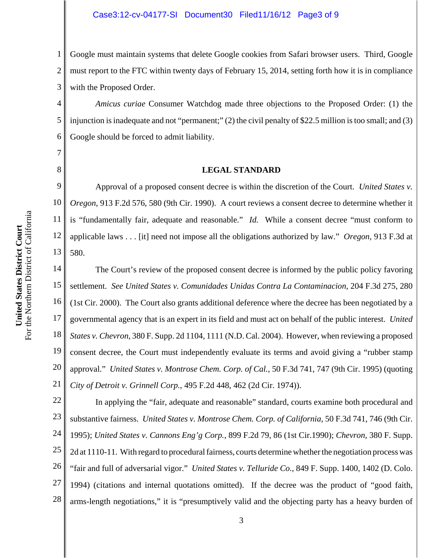## Case3:12-cv-04177-SI Document30 Filed11/16/12 Page3 of 9

1 2 3 Google must maintain systems that delete Google cookies from Safari browser users. Third, Google must report to the FTC within twenty days of February 15, 2014, setting forth how it is in compliance with the Proposed Order.

4 5 6 *Amicus curiae* Consumer Watchdog made three objections to the Proposed Order: (1) the injunction is inadequate and not "permanent;" (2) the civil penalty of \$22.5 million is too small; and (3) Google should be forced to admit liability.

### **LEGAL STANDARD**

9 10 11 12 13 Approval of a proposed consent decree is within the discretion of the Court. *United States v. Oregon*, 913 F.2d 576, 580 (9th Cir. 1990). A court reviews a consent decree to determine whether it is "fundamentally fair, adequate and reasonable." *Id.* While a consent decree "must conform to applicable laws . . . [it] need not impose all the obligations authorized by law." *Oregon*, 913 F.3d at 580.

14 15 16 17 18 19 20 21 The Court's review of the proposed consent decree is informed by the public policy favoring settlement. *See United States v. Comunidades Unidas Contra La Contaminacion*, 204 F.3d 275, 280 (1st Cir. 2000). The Court also grants additional deference where the decree has been negotiated by a governmental agency that is an expert in its field and must act on behalf of the public interest. *United States v. Chevron*, 380 F. Supp. 2d 1104, 1111 (N.D. Cal. 2004). However, when reviewing a proposed consent decree, the Court must independently evaluate its terms and avoid giving a "rubber stamp approval." *United States v. Montrose Chem. Corp. of Cal.*, 50 F.3d 741, 747 (9th Cir. 1995) (quoting *City of Detroit v. Grinnell Corp.*, 495 F.2d 448, 462 (2d Cir. 1974)).

22 23 24 25 26 27 28 In applying the "fair, adequate and reasonable" standard, courts examine both procedural and substantive fairness. *United States v. Montrose Chem. Corp. of California*, 50 F.3d 741, 746 (9th Cir. 1995); *United States v. Cannons Eng'g Corp.*, 899 F.2d 79, 86 (1st Cir.1990); *Chevron*, 380 F. Supp. 2d at 1110-11. With regard to procedural fairness, courts determine whether the negotiation process was "fair and full of adversarial vigor." *United States v. Telluride Co.*, 849 F. Supp. 1400, 1402 (D. Colo. 1994) (citations and internal quotations omitted). If the decree was the product of "good faith, arms-length negotiations," it is "presumptively valid and the objecting party has a heavy burden of

7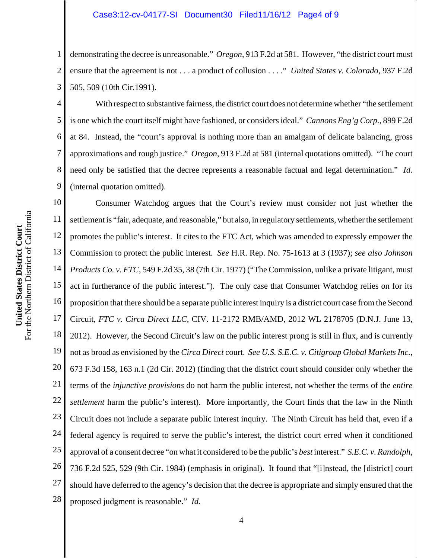## Case3:12-cv-04177-SI Document30 Filed11/16/12 Page4 of 9

1 2 3 demonstrating the decree is unreasonable." *Oregon*, 913 F.2d at 581. However, "the district court must ensure that the agreement is not . . . a product of collusion . . . ." *United States v. Colorado*, 937 F.2d 505, 509 (10th Cir.1991).

4 5 6 7 8 9 With respect to substantive fairness, the district court does not determine whether "the settlement is one which the court itself might have fashioned, or considers ideal." *Cannons Eng'g Corp.*, 899 F.2d at 84. Instead, the "court's approval is nothing more than an amalgam of delicate balancing, gross approximations and rough justice." *Oregon*, 913 F.2d at 581 (internal quotations omitted). "The court need only be satisfied that the decree represents a reasonable factual and legal determination." *Id.* (internal quotation omitted).

10 11 12 13 14 15 16 17 18 19 20 21 22 23 24 25 26 27 28 Consumer Watchdog argues that the Court's review must consider not just whether the settlement is "fair, adequate, and reasonable," but also, in regulatory settlements, whether the settlement promotes the public's interest. It cites to the FTC Act, which was amended to expressly empower the Commission to protect the public interest. *See* H.R. Rep. No. 75-1613 at 3 (1937); *see also Johnson Products Co. v. FTC*, 549 F.2d 35, 38 (7th Cir. 1977) ("The Commission, unlike a private litigant, must act in furtherance of the public interest."). The only case that Consumer Watchdog relies on for its proposition that there should be a separate public interest inquiry is a district court case from the Second Circuit, *FTC v. Circa Direct LLC*, CIV. 11-2172 RMB/AMD, 2012 WL 2178705 (D.N.J. June 13, 2012). However, the Second Circuit's law on the public interest prong is still in flux, and is currently not as broad as envisioned by the *Circa Direct* court. *See U.S. S.E.C. v. Citigroup Global Markets Inc.*, 673 F.3d 158, 163 n.1 (2d Cir. 2012) (finding that the district court should consider only whether the terms of the *injunctive provisions* do not harm the public interest, not whether the terms of the *entire settlement* harm the public's interest). More importantly, the Court finds that the law in the Ninth Circuit does not include a separate public interest inquiry. The Ninth Circuit has held that, even if a federal agency is required to serve the public's interest, the district court erred when it conditioned approval of a consent decree "on what it considered to be the public's *best* interest." *S.E.C. v. Randolph*, 736 F.2d 525, 529 (9th Cir. 1984) (emphasis in original). It found that "[i]nstead, the [district] court should have deferred to the agency's decision that the decree is appropriate and simply ensured that the proposed judgment is reasonable." *Id.*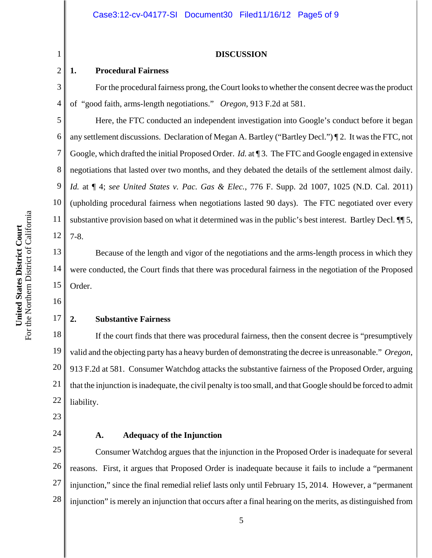#### **DISCUSSION**

## **1. Procedural Fairness**

For the procedural fairness prong, the Court looks to whether the consent decree was the product of "good faith, arms-length negotiations." *Oregon*, 913 F.2d at 581.

Here, the FTC conducted an independent investigation into Google's conduct before it began any settlement discussions. Declaration of Megan A. Bartley ("Bartley Decl.") ¶ 2. It was the FTC, not Google, which drafted the initial Proposed Order. *Id.* at ¶ 3. The FTC and Google engaged in extensive negotiations that lasted over two months, and they debated the details of the settlement almost daily. *Id.* at ¶ 4; *see United States v. Pac. Gas & Elec.*, 776 F. Supp. 2d 1007, 1025 (N.D. Cal. 2011) (upholding procedural fairness when negotiations lasted 90 days). The FTC negotiated over every substantive provision based on what it determined was in the public's best interest. Bartley Decl. ¶¶ 5, 7-8.

13 14 15 Because of the length and vigor of the negotiations and the arms-length process in which they were conducted, the Court finds that there was procedural fairness in the negotiation of the Proposed Order.

16

17

1

2

3

4

5

6

7

8

9

10

11

12

# **2. Substantive Fairness**

18 19 20 21 22 If the court finds that there was procedural fairness, then the consent decree is "presumptively valid and the objecting party has a heavy burden of demonstrating the decree is unreasonable." *Oregon*, 913 F.2d at 581. Consumer Watchdog attacks the substantive fairness of the Proposed Order, arguing that the injunction is inadequate, the civil penalty is too small, and that Google should be forced to admit liability.

23

24

## **A. Adequacy of the Injunction**

25 26 27 28 Consumer Watchdog argues that the injunction in the Proposed Order is inadequate for several reasons. First, it argues that Proposed Order is inadequate because it fails to include a "permanent injunction," since the final remedial relief lasts only until February 15, 2014. However, a "permanent injunction" is merely an injunction that occurs after a final hearing on the merits, as distinguished from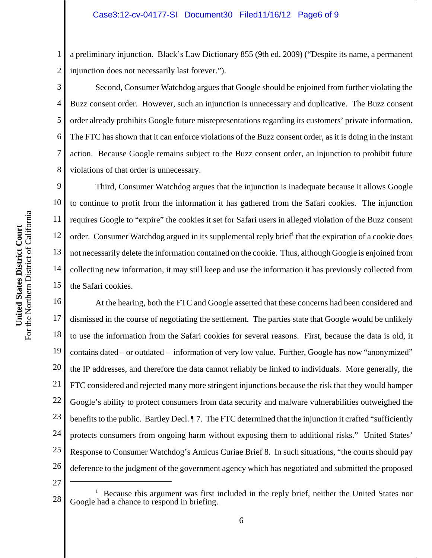1 2 a preliminary injunction. Black's Law Dictionary 855 (9th ed. 2009) ("Despite its name, a permanent injunction does not necessarily last forever.").

Second, Consumer Watchdog argues that Google should be enjoined from further violating the Buzz consent order. However, such an injunction is unnecessary and duplicative. The Buzz consent order already prohibits Google future misrepresentations regarding its customers' private information. The FTC has shown that it can enforce violations of the Buzz consent order, as it is doing in the instant action. Because Google remains subject to the Buzz consent order, an injunction to prohibit future violations of that order is unnecessary.

9 10 11 12 13 14 15 Third, Consumer Watchdog argues that the injunction is inadequate because it allows Google to continue to profit from the information it has gathered from the Safari cookies. The injunction requires Google to "expire" the cookies it set for Safari users in alleged violation of the Buzz consent order. Consumer Watchdog argued in its supplemental reply brief<sup>1</sup> that the expiration of a cookie does not necessarily delete the information contained on the cookie. Thus, although Google is enjoined from collecting new information, it may still keep and use the information it has previously collected from the Safari cookies.

16 17 18 19 20 21 22 23 24 25 26 At the hearing, both the FTC and Google asserted that these concerns had been considered and dismissed in the course of negotiating the settlement. The parties state that Google would be unlikely to use the information from the Safari cookies for several reasons. First, because the data is old, it contains dated – or outdated – information of very low value. Further, Google has now "anonymized" the IP addresses, and therefore the data cannot reliably be linked to individuals. More generally, the FTC considered and rejected many more stringent injunctions because the risk that they would hamper Google's ability to protect consumers from data security and malware vulnerabilities outweighed the benefits to the public. Bartley Decl. ¶ 7. The FTC determined that the injunction it crafted "sufficiently protects consumers from ongoing harm without exposing them to additional risks." United States' Response to Consumer Watchdog's Amicus Curiae Brief 8. In such situations, "the courts should pay deference to the judgment of the government agency which has negotiated and submitted the proposed

27

3

4

5

6

7

<sup>28</sup> 1 Because this argument was first included in the reply brief, neither the United States nor Google had a chance to respond in briefing.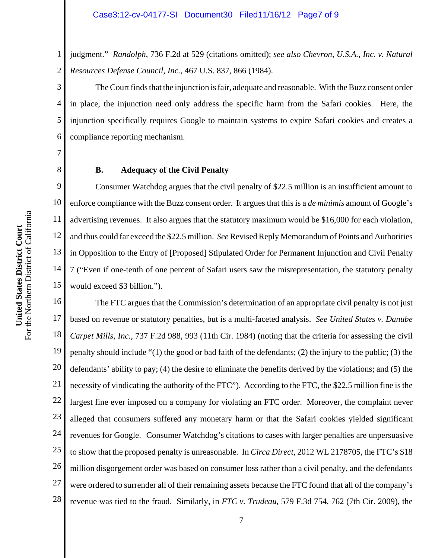1 2 judgment." *Randolph*, 736 F.2d at 529 (citations omitted); *see also Chevron, U.S.A., Inc. v. Natural Resources Defense Council, Inc.*, 467 U.S. 837, 866 (1984).

3 4 5 6 The Court finds that the injunction is fair, adequate and reasonable. With the Buzz consent order in place, the injunction need only address the specific harm from the Safari cookies. Here, the injunction specifically requires Google to maintain systems to expire Safari cookies and creates a compliance reporting mechanism.

7 8

## **B. Adequacy of the Civil Penalty**

9 10 11 12 13 14 15 Consumer Watchdog argues that the civil penalty of \$22.5 million is an insufficient amount to enforce compliance with the Buzz consent order. It argues that this is a *de minimis* amount of Google's advertising revenues. It also argues that the statutory maximum would be \$16,000 for each violation, and thus could far exceed the \$22.5 million. *See* Revised Reply Memorandum of Points and Authorities in Opposition to the Entry of [Proposed] Stipulated Order for Permanent Injunction and Civil Penalty 7 ("Even if one-tenth of one percent of Safari users saw the misrepresentation, the statutory penalty would exceed \$3 billion.").

16 17 18 19 20 21 22 23 24 25 26 27 28 The FTC argues that the Commission's determination of an appropriate civil penalty is not just based on revenue or statutory penalties, but is a multi-faceted analysis. *See United States v. Danube Carpet Mills, Inc.*, 737 F.2d 988, 993 (11th Cir. 1984) (noting that the criteria for assessing the civil penalty should include "(1) the good or bad faith of the defendants; (2) the injury to the public; (3) the defendants' ability to pay; (4) the desire to eliminate the benefits derived by the violations; and (5) the necessity of vindicating the authority of the FTC"). According to the FTC, the \$22.5 million fine is the largest fine ever imposed on a company for violating an FTC order. Moreover, the complaint never alleged that consumers suffered any monetary harm or that the Safari cookies yielded significant revenues for Google. Consumer Watchdog's citations to cases with larger penalties are unpersuasive to show that the proposed penalty is unreasonable. In *Circa Direct*, 2012 WL 2178705, the FTC's \$18 million disgorgement order was based on consumer loss rather than a civil penalty, and the defendants were ordered to surrender all of their remaining assets because the FTC found that all of the company's revenue was tied to the fraud. Similarly, in *FTC v. Trudeau*, 579 F.3d 754, 762 (7th Cir. 2009), the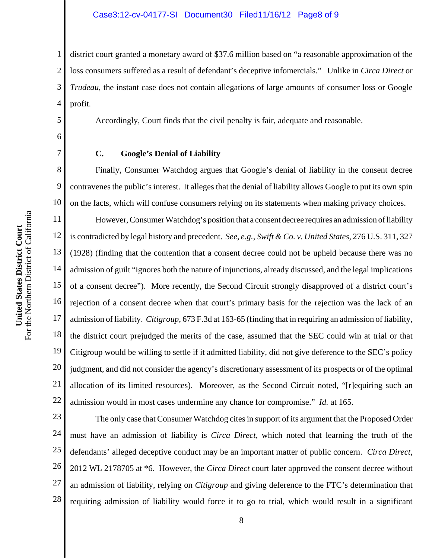1 2 3 4 district court granted a monetary award of \$37.6 million based on "a reasonable approximation of the loss consumers suffered as a result of defendant's deceptive infomercials." Unlike in *Circa Direct* or *Trudeau*, the instant case does not contain allegations of large amounts of consumer loss or Google profit.

Accordingly, Court finds that the civil penalty is fair, adequate and reasonable.

## **C. Google's Denial of Liability**

Finally, Consumer Watchdog argues that Google's denial of liability in the consent decree contravenes the public's interest. It alleges that the denial of liability allows Google to put its own spin on the facts, which will confuse consumers relying on its statements when making privacy choices.

11 12 13 14 15 16 17 18 19 20 21 22 However, Consumer Watchdog's position that a consent decree requires an admission of liability is contradicted by legal history and precedent. *See, e.g.*, *Swift & Co. v. United States*, 276 U.S. 311, 327 (1928) (finding that the contention that a consent decree could not be upheld because there was no admission of guilt "ignores both the nature of injunctions, already discussed, and the legal implications of a consent decree"). More recently, the Second Circuit strongly disapproved of a district court's rejection of a consent decree when that court's primary basis for the rejection was the lack of an admission of liability. *Citigroup*, 673 F.3d at 163-65 (finding that in requiring an admission of liability, the district court prejudged the merits of the case, assumed that the SEC could win at trial or that Citigroup would be willing to settle if it admitted liability, did not give deference to the SEC's policy judgment, and did not consider the agency's discretionary assessment of its prospects or of the optimal allocation of its limited resources). Moreover, as the Second Circuit noted, "[r]equiring such an admission would in most cases undermine any chance for compromise." *Id.* at 165.

23 24 25 26 27 28 The only case that Consumer Watchdog cites in support of its argument that the Proposed Order must have an admission of liability is *Circa Direct*, which noted that learning the truth of the defendants' alleged deceptive conduct may be an important matter of public concern. *Circa Direct*, 2012 WL 2178705 at \*6. However, the *Circa Direct* court later approved the consent decree without an admission of liability, relying on *Citigroup* and giving deference to the FTC's determination that requiring admission of liability would force it to go to trial, which would result in a significant

5

6

7

8

9